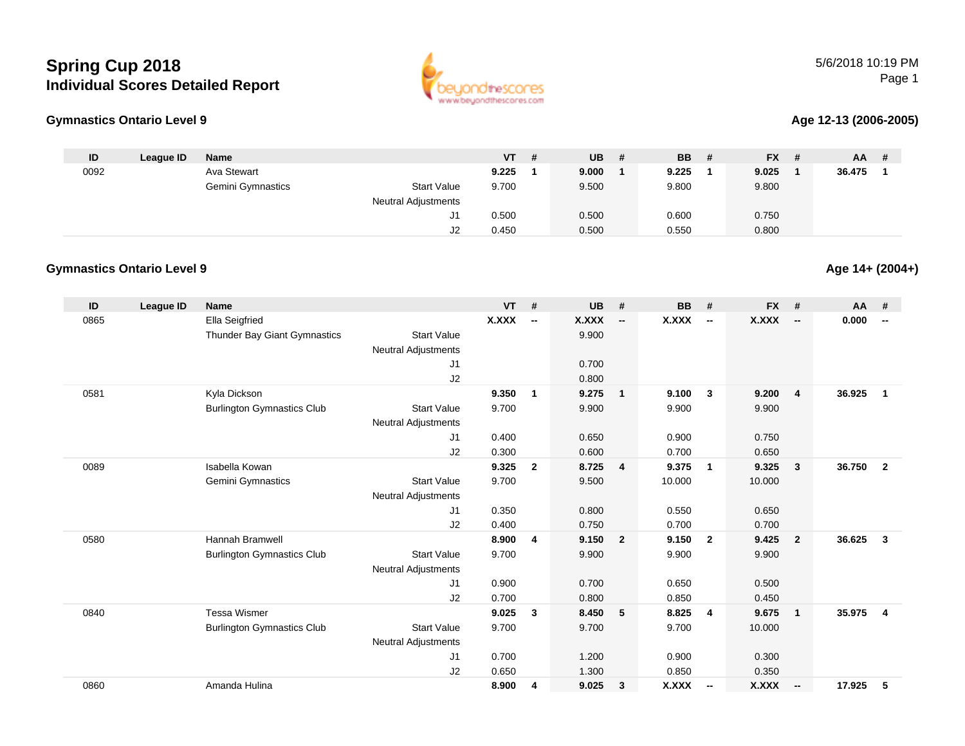# **Spring Cup 2018Individual Scores Detailed Report**





#### **Age 12-13 (2006-2005)**

| ID   | League ID | Name              |                            | VT l  | <b>UB</b> | - # | <b>BB</b> | -# | <b>FX</b> | # | <b>AA</b> |  |
|------|-----------|-------------------|----------------------------|-------|-----------|-----|-----------|----|-----------|---|-----------|--|
| 0092 |           | Ava Stewart       |                            | 9.225 | 9.000     |     | 9.225     |    | 9.025     |   | 36.475    |  |
|      |           | Gemini Gymnastics | <b>Start Value</b>         | 9.700 | 9.500     |     | 9.800     |    | 9.800     |   |           |  |
|      |           |                   | <b>Neutral Adjustments</b> |       |           |     |           |    |           |   |           |  |
|      |           |                   |                            | 0.500 | 0.500     |     | 0.600     |    | 0.750     |   |           |  |
|      |           |                   | J2                         | 0.450 | 0.500     |     | 0.550     |    | 0.800     |   |           |  |

### **Gymnastics Ontario Level 9**

| ID   | <b>League ID</b> | <b>Name</b>                       |                            | <b>VT</b> | #                        | <b>UB</b>    | #                        | <b>BB</b> | #                        | <b>FX</b>    | #                        | AA     | #                        |
|------|------------------|-----------------------------------|----------------------------|-----------|--------------------------|--------------|--------------------------|-----------|--------------------------|--------------|--------------------------|--------|--------------------------|
| 0865 |                  | <b>Ella Seigfried</b>             |                            | X.XXX     | $\overline{\phantom{a}}$ | <b>X.XXX</b> | $\overline{\phantom{a}}$ | X.XXX     | $\overline{\phantom{a}}$ | <b>X.XXX</b> | $\overline{\phantom{a}}$ | 0.000  | $\overline{\phantom{a}}$ |
|      |                  | Thunder Bay Giant Gymnastics      | <b>Start Value</b>         |           |                          | 9.900        |                          |           |                          |              |                          |        |                          |
|      |                  |                                   | <b>Neutral Adjustments</b> |           |                          |              |                          |           |                          |              |                          |        |                          |
|      |                  |                                   | J <sub>1</sub>             |           |                          | 0.700        |                          |           |                          |              |                          |        |                          |
|      |                  |                                   | J2                         |           |                          | 0.800        |                          |           |                          |              |                          |        |                          |
| 0581 |                  | Kyla Dickson                      |                            | 9.350     | 1                        | 9.275        | $\overline{\mathbf{1}}$  | 9.100     | $\overline{\mathbf{3}}$  | 9.200        | $\overline{4}$           | 36.925 | $\mathbf{1}$             |
|      |                  | <b>Burlington Gymnastics Club</b> | <b>Start Value</b>         | 9.700     |                          | 9.900        |                          | 9.900     |                          | 9.900        |                          |        |                          |
|      |                  |                                   | <b>Neutral Adjustments</b> |           |                          |              |                          |           |                          |              |                          |        |                          |
|      |                  |                                   | J1                         | 0.400     |                          | 0.650        |                          | 0.900     |                          | 0.750        |                          |        |                          |
|      |                  |                                   | J2                         | 0.300     |                          | 0.600        |                          | 0.700     |                          | 0.650        |                          |        |                          |
| 0089 |                  | Isabella Kowan                    |                            | 9.325     | $\overline{2}$           | 8.725        | $\overline{4}$           | 9.375     | $\overline{1}$           | 9.325        | $\mathbf{3}$             | 36.750 | $\overline{2}$           |
|      |                  | Gemini Gymnastics                 | <b>Start Value</b>         | 9.700     |                          | 9.500        |                          | 10.000    |                          | 10.000       |                          |        |                          |
|      |                  |                                   | <b>Neutral Adjustments</b> |           |                          |              |                          |           |                          |              |                          |        |                          |
|      |                  |                                   | J1                         | 0.350     |                          | 0.800        |                          | 0.550     |                          | 0.650        |                          |        |                          |
|      |                  |                                   | J2                         | 0.400     |                          | 0.750        |                          | 0.700     |                          | 0.700        |                          |        |                          |
| 0580 |                  | Hannah Bramwell                   |                            | 8.900     | 4                        | 9.150        | $\overline{\mathbf{2}}$  | 9.150     | $\overline{2}$           | 9.425        | $\overline{2}$           | 36.625 | $\mathbf{3}$             |
|      |                  | <b>Burlington Gymnastics Club</b> | <b>Start Value</b>         | 9.700     |                          | 9.900        |                          | 9.900     |                          | 9.900        |                          |        |                          |
|      |                  |                                   | <b>Neutral Adjustments</b> |           |                          |              |                          |           |                          |              |                          |        |                          |
|      |                  |                                   | J1                         | 0.900     |                          | 0.700        |                          | 0.650     |                          | 0.500        |                          |        |                          |
|      |                  |                                   | J2                         | 0.700     |                          | 0.800        |                          | 0.850     |                          | 0.450        |                          |        |                          |
| 0840 |                  | <b>Tessa Wismer</b>               |                            | 9.025     | 3                        | 8.450        | $-5$                     | 8.825     | $\overline{4}$           | 9.675        | $\mathbf{1}$             | 35.975 | 4                        |
|      |                  | <b>Burlington Gymnastics Club</b> | <b>Start Value</b>         | 9.700     |                          | 9.700        |                          | 9.700     |                          | 10.000       |                          |        |                          |
|      |                  |                                   | <b>Neutral Adjustments</b> |           |                          |              |                          |           |                          |              |                          |        |                          |
|      |                  |                                   | J <sub>1</sub>             | 0.700     |                          | 1.200        |                          | 0.900     |                          | 0.300        |                          |        |                          |
|      |                  |                                   | J2                         | 0.650     |                          | 1.300        |                          | 0.850     |                          | 0.350        |                          |        |                          |
| 0860 |                  | Amanda Hulina                     |                            | 8.900     | 4                        | 9.025        | $\mathbf{3}$             | X.XXX     | $\overline{\phantom{a}}$ | <b>X.XXX</b> | $\overline{\phantom{a}}$ | 17.925 | 5                        |

#### **Age 14+ (2004+)**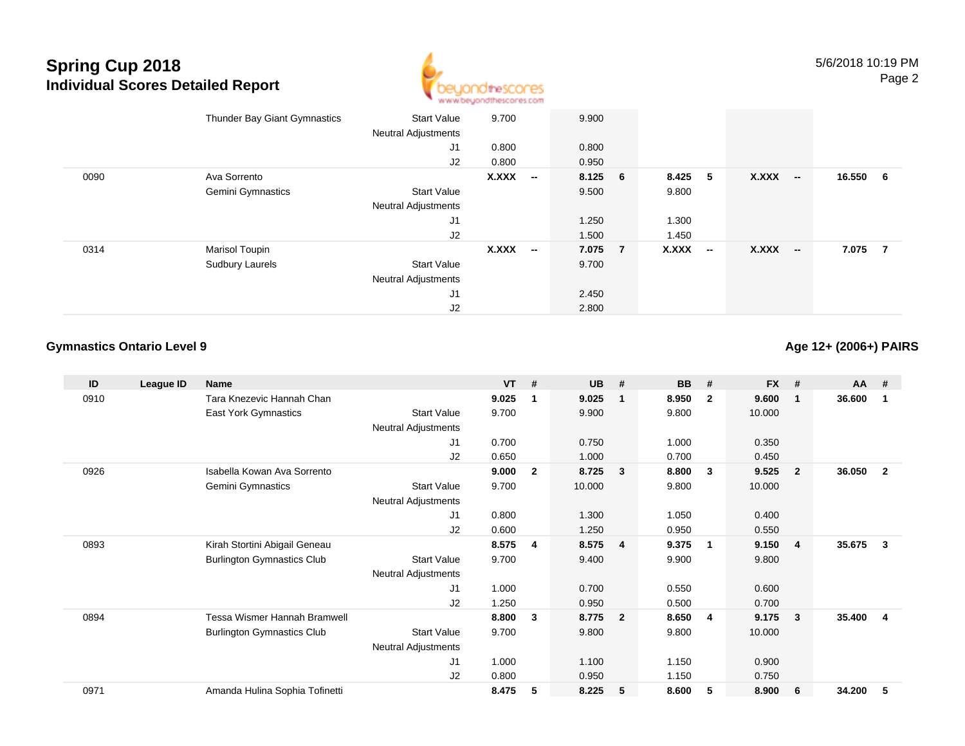# **Spring Cup 2018 Individual Scores Detailed Report**



|      | Thunder Bay Giant Gymnastics | <b>Start Value</b><br><b>Neutral Adjustments</b> | 9.700        |                          | 9.900   |         |        |              |                          |          |  |
|------|------------------------------|--------------------------------------------------|--------------|--------------------------|---------|---------|--------|--------------|--------------------------|----------|--|
|      |                              | J1                                               | 0.800        |                          | 0.800   |         |        |              |                          |          |  |
|      |                              | J2                                               | 0.800        |                          | 0.950   |         |        |              |                          |          |  |
| 0090 | Ava Sorrento                 |                                                  | <b>X.XXX</b> | $\overline{\phantom{a}}$ | 8.125 6 | 8.425 5 |        | X.XXX        | $\overline{\phantom{a}}$ | 16.550 6 |  |
|      | Gemini Gymnastics            | <b>Start Value</b>                               |              |                          | 9.500   | 9.800   |        |              |                          |          |  |
|      |                              | <b>Neutral Adjustments</b>                       |              |                          |         |         |        |              |                          |          |  |
|      |                              | J1                                               |              |                          | 1.250   | 1.300   |        |              |                          |          |  |
|      |                              | J2                                               |              |                          | 1.500   | 1.450   |        |              |                          |          |  |
| 0314 | <b>Marisol Toupin</b>        |                                                  | <b>X.XXX</b> | $\overline{\phantom{a}}$ | 7.075 7 | X.XXX   | $\sim$ | <b>X.XXX</b> | $\overline{\phantom{a}}$ | 7.075 7  |  |
|      | Sudbury Laurels              | <b>Start Value</b>                               |              |                          | 9.700   |         |        |              |                          |          |  |
|      |                              | <b>Neutral Adjustments</b>                       |              |                          |         |         |        |              |                          |          |  |
|      |                              | J <sub>1</sub>                                   |              |                          | 2.450   |         |        |              |                          |          |  |
|      |                              | J2                                               |              |                          | 2.800   |         |        |              |                          |          |  |

## **Gymnastics Ontario Level 9**

## **Age 12+ (2006+) PAIRS**

| ID   | League ID | Name                              |                            | <b>VT</b> | #              | <b>UB</b> | #              | <b>BB</b> | #                       | <b>FX</b> | #              | <b>AA</b> | #                       |
|------|-----------|-----------------------------------|----------------------------|-----------|----------------|-----------|----------------|-----------|-------------------------|-----------|----------------|-----------|-------------------------|
| 0910 |           | Tara Knezevic Hannah Chan         |                            | 9.025     | 1              | 9.025     | $\mathbf{1}$   | 8.950     | $\overline{2}$          | 9.600     | $\mathbf{1}$   | 36.600    | -1                      |
|      |           | East York Gymnastics              | <b>Start Value</b>         | 9.700     |                | 9.900     |                | 9.800     |                         | 10.000    |                |           |                         |
|      |           |                                   | <b>Neutral Adjustments</b> |           |                |           |                |           |                         |           |                |           |                         |
|      |           |                                   | J <sub>1</sub>             | 0.700     |                | 0.750     |                | 1.000     |                         | 0.350     |                |           |                         |
|      |           |                                   | J2                         | 0.650     |                | 1.000     |                | 0.700     |                         | 0.450     |                |           |                         |
| 0926 |           | Isabella Kowan Ava Sorrento       |                            | 9.000     | $\overline{2}$ | 8.725     | $\mathbf{3}$   | 8.800     | $\overline{\mathbf{3}}$ | 9.525     | $\overline{2}$ | 36.050    | $\overline{2}$          |
|      |           | Gemini Gymnastics                 | <b>Start Value</b>         | 9.700     |                | 10.000    |                | 9.800     |                         | 10.000    |                |           |                         |
|      |           |                                   | Neutral Adjustments        |           |                |           |                |           |                         |           |                |           |                         |
|      |           |                                   | J1                         | 0.800     |                | 1.300     |                | 1.050     |                         | 0.400     |                |           |                         |
|      |           |                                   | J <sub>2</sub>             | 0.600     |                | 1.250     |                | 0.950     |                         | 0.550     |                |           |                         |
| 0893 |           | Kirah Stortini Abigail Geneau     |                            | 8.575     | 4              | 8.575     | $\overline{4}$ | 9.375     | $\mathbf 1$             | 9.150     | -4             | 35.675    | 3                       |
|      |           | <b>Burlington Gymnastics Club</b> | <b>Start Value</b>         | 9.700     |                | 9.400     |                | 9.900     |                         | 9.800     |                |           |                         |
|      |           |                                   | <b>Neutral Adjustments</b> |           |                |           |                |           |                         |           |                |           |                         |
|      |           |                                   | J1                         | 1.000     |                | 0.700     |                | 0.550     |                         | 0.600     |                |           |                         |
|      |           |                                   | J <sub>2</sub>             | 1.250     |                | 0.950     |                | 0.500     |                         | 0.700     |                |           |                         |
| 0894 |           | Tessa Wismer Hannah Bramwell      |                            | 8.800     | 3              | 8.775     | $\overline{2}$ | 8.650     | 4                       | 9.175     | 3              | 35.400    | $\overline{\mathbf{4}}$ |
|      |           | <b>Burlington Gymnastics Club</b> | <b>Start Value</b>         | 9.700     |                | 9.800     |                | 9.800     |                         | 10.000    |                |           |                         |
|      |           |                                   | <b>Neutral Adjustments</b> |           |                |           |                |           |                         |           |                |           |                         |
|      |           |                                   | J1                         | 1.000     |                | 1.100     |                | 1.150     |                         | 0.900     |                |           |                         |
|      |           |                                   | J <sub>2</sub>             | 0.800     |                | 0.950     |                | 1.150     |                         | 0.750     |                |           |                         |
| 0971 |           | Amanda Hulina Sophia Tofinetti    |                            | 8.475     | 5              | 8.225     | 5              | 8.600     | 5                       | 8.900     | 6              | 34.200    | 5                       |